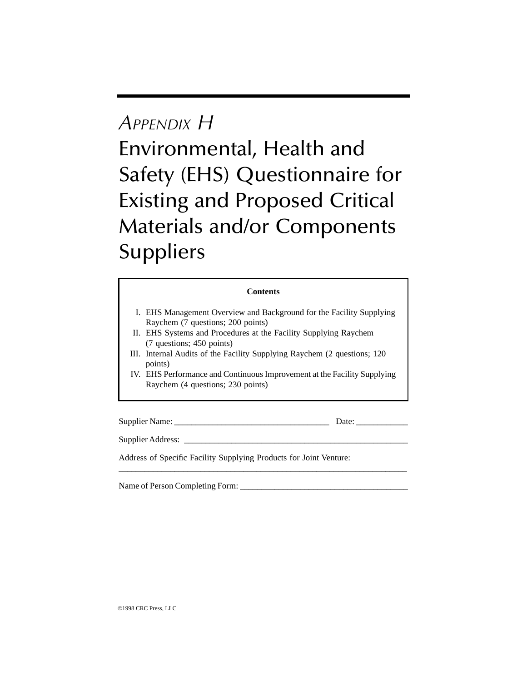## *APPENDIX H* Environmental, Health and Safety (EHS) Questionnaire for Existing and Proposed Critical Materials and/or Components **Suppliers**

## **Contents**

- I. EHS Management Overview and Background for the Facility Supplying Raychem (7 questions; 200 points)
- II. EHS Systems and Procedures at the Facility Supplying Raychem (7 questions; 450 points)
- III. Internal Audits of the Facility Supplying Raychem (2 questions; 120 points)
- IV. EHS Performance and Continuous Improvement at the Facility Supplying Raychem (4 questions; 230 points)

\_\_\_\_\_\_\_\_\_\_\_\_\_\_\_\_\_\_\_\_\_\_\_\_\_\_\_\_\_\_\_\_\_\_\_\_\_\_\_\_\_\_\_\_\_\_\_\_\_\_\_\_\_\_\_\_\_\_\_\_\_\_\_\_\_\_\_

Supplier Name: \_\_\_\_\_\_\_\_\_\_\_\_\_\_\_\_\_\_\_\_\_\_\_\_\_\_\_\_\_\_\_\_\_\_\_\_ Date: \_\_\_\_\_\_\_\_\_\_\_\_

Supplier Address:

Address of Specific Facility Supplying Products for Joint Venture:

Name of Person Completing Form: \_\_\_\_\_\_\_\_\_\_\_\_\_\_\_\_\_\_\_\_\_\_\_\_\_\_\_\_\_\_\_\_\_\_\_\_\_\_\_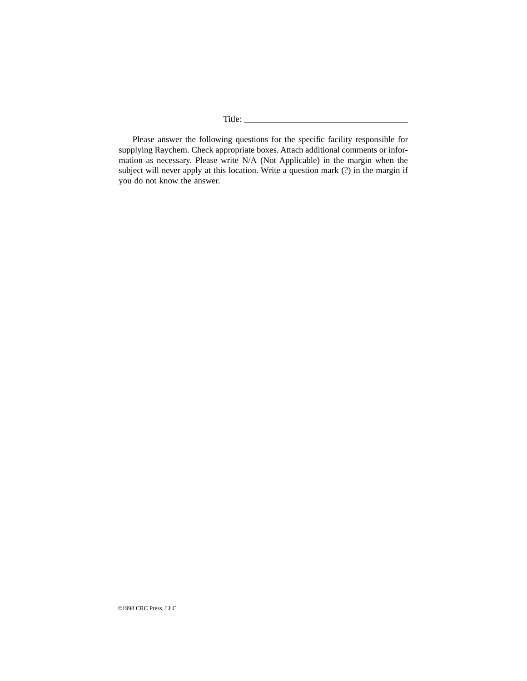Please answer the following questions for the specific facility responsible for supplying Raychem. Check appropriate boxes. Attach additional comments or information as necessary. Please write N/A (Not Applicable) in the margin when the subject will never apply at this location. Write a question mark (?) in the margin if you do not know the answer.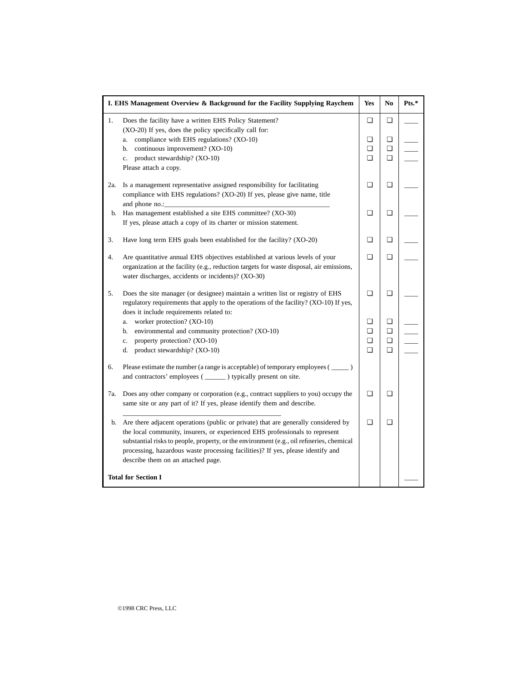| I. EHS Management Overview & Background for the Facility Supplying Raychem |                                                                                                                                                                    | Yes    | No     | Pts.* |
|----------------------------------------------------------------------------|--------------------------------------------------------------------------------------------------------------------------------------------------------------------|--------|--------|-------|
| 1.                                                                         | Does the facility have a written EHS Policy Statement?<br>(XO-20) If yes, does the policy specifically call for:                                                   | ❏      | ❏      |       |
| a.                                                                         | compliance with EHS regulations? (XO-10)                                                                                                                           | o      | ◘      |       |
| b.                                                                         | continuous improvement? (XO-10)                                                                                                                                    | ❏      | ❏      |       |
| c.                                                                         | product stewardship? (XO-10)                                                                                                                                       | $\Box$ | ◘      |       |
| Please attach a copy.                                                      |                                                                                                                                                                    |        |        |       |
| 2a.                                                                        | Is a management representative assigned responsibility for facilitating                                                                                            | $\Box$ | $\Box$ |       |
|                                                                            | compliance with EHS regulations? (XO-20) If yes, please give name, title                                                                                           |        |        |       |
| and phone no.:                                                             |                                                                                                                                                                    |        |        |       |
| b.                                                                         | Has management established a site EHS committee? (XO-30)                                                                                                           | ❏      | ❏      |       |
|                                                                            | If yes, please attach a copy of its charter or mission statement.                                                                                                  |        |        |       |
| 3.                                                                         | Have long term EHS goals been established for the facility? (XO-20)                                                                                                | ❏      | ❏      |       |
|                                                                            |                                                                                                                                                                    |        |        |       |
| 4.                                                                         | Are quantitative annual EHS objectives established at various levels of your                                                                                       | $\Box$ | ❏      |       |
|                                                                            | organization at the facility (e.g., reduction targets for waste disposal, air emissions,                                                                           |        |        |       |
|                                                                            | water discharges, accidents or incidents)? (XO-30)                                                                                                                 |        |        |       |
| 5.                                                                         | Does the site manager (or designee) maintain a written list or registry of EHS                                                                                     | ❏      | ❏      |       |
|                                                                            | regulatory requirements that apply to the operations of the facility? (XO-10) If yes,                                                                              |        |        |       |
|                                                                            | does it include requirements related to:                                                                                                                           |        |        |       |
| a.                                                                         | worker protection? (XO-10)                                                                                                                                         | ❏      | ❏      |       |
| b.                                                                         | environmental and community protection? (XO-10)                                                                                                                    | ❏      | ❏      |       |
| c.                                                                         | property protection? (XO-10)                                                                                                                                       | ❏      | ❏      |       |
| d.                                                                         | product stewardship? (XO-10)                                                                                                                                       | $\Box$ | О      |       |
| 6.                                                                         | Please estimate the number (a range is acceptable) of temporary employees (______)                                                                                 |        |        |       |
|                                                                            | and contractors' employees (_______) typically present on site.                                                                                                    |        |        |       |
| 7a.                                                                        | Does any other company or corporation (e.g., contract suppliers to you) occupy the                                                                                 | $\Box$ | ◘      |       |
|                                                                            | same site or any part of it? If yes, please identify them and describe.                                                                                            |        |        |       |
|                                                                            |                                                                                                                                                                    | ❏      | ▫      |       |
| b.                                                                         | Are there adjacent operations (public or private) that are generally considered by<br>the local community, insurers, or experienced EHS professionals to represent |        |        |       |
|                                                                            | substantial risks to people, property, or the environment (e.g., oil refineries, chemical                                                                          |        |        |       |
|                                                                            | processing, hazardous waste processing facilities)? If yes, please identify and                                                                                    |        |        |       |
|                                                                            | describe them on an attached page.                                                                                                                                 |        |        |       |
|                                                                            |                                                                                                                                                                    |        |        |       |
| <b>Total for Section I</b>                                                 |                                                                                                                                                                    |        |        |       |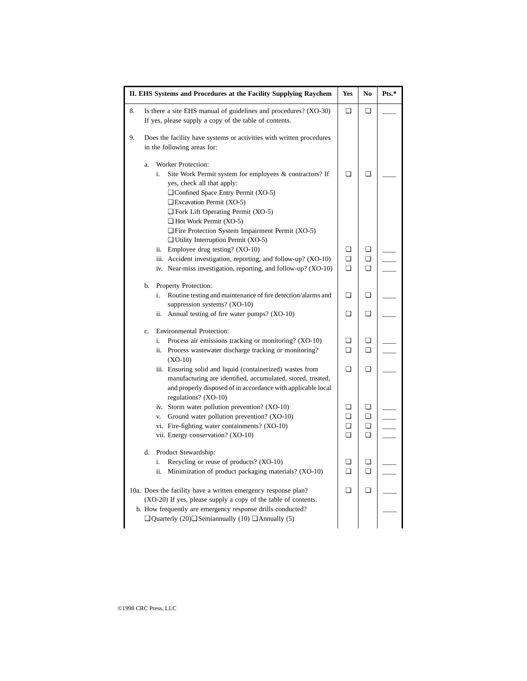| II. EHS Systems and Procedures at the Facility Supplying Raychem   |                                                                                                                                                                                                                                                                                                                                                                                             | Yes    | No     | Pts.* |
|--------------------------------------------------------------------|---------------------------------------------------------------------------------------------------------------------------------------------------------------------------------------------------------------------------------------------------------------------------------------------------------------------------------------------------------------------------------------------|--------|--------|-------|
| 8.                                                                 | Is there a site EHS manual of guidelines and procedures? (XO-30)<br>If yes, please supply a copy of the table of contents.                                                                                                                                                                                                                                                                  | ❏      | o      |       |
| 9.                                                                 | Does the facility have systems or activities with written procedures<br>in the following areas for:                                                                                                                                                                                                                                                                                         |        |        |       |
|                                                                    | Worker Protection:<br>a.<br>i.<br>Site Work Permit system for employees & contractors? If<br>yes, check all that apply:<br>$\Box$ Confined Space Entry Permit (XO-5)<br>$\Box$ Excavation Permit (XO-5)<br>$\Box$ Fork Lift Operating Permit (XO-5)<br>$\Box$ Hot Work Permit (XO-5)<br>$\Box$ Fire Protection System Impairment Permit (XO-5)<br>$\Box$ Utility Interruption Permit (XO-5) | $\Box$ | $\Box$ |       |
|                                                                    | ii. Employee drug testing? (XO-10)                                                                                                                                                                                                                                                                                                                                                          | ❏      | ◘      |       |
|                                                                    | iii. Accident investigation, reporting, and follow-up? (XO-10)                                                                                                                                                                                                                                                                                                                              | ❏      | O      |       |
|                                                                    | iv. Near-miss investigation, reporting, and follow-up? (XO-10)                                                                                                                                                                                                                                                                                                                              | o      | $\Box$ |       |
|                                                                    | Property Protection:<br>b.                                                                                                                                                                                                                                                                                                                                                                  |        |        |       |
|                                                                    | Routine testing and maintenance of fire detection/alarms and<br>i.                                                                                                                                                                                                                                                                                                                          | ❏      | $\Box$ |       |
|                                                                    | suppression systems? $(XO-10)$                                                                                                                                                                                                                                                                                                                                                              |        |        |       |
|                                                                    | ii. Annual testing of fire water pumps? (XO-10)                                                                                                                                                                                                                                                                                                                                             | ❏      | O      |       |
|                                                                    | <b>Environmental Protection:</b><br>c.                                                                                                                                                                                                                                                                                                                                                      |        |        |       |
|                                                                    | Process air emissions tracking or monitoring? (XO-10)<br>i.                                                                                                                                                                                                                                                                                                                                 | ❏      | ◘      |       |
|                                                                    | ii. Process wastewater discharge tracking or monitoring?<br>$(XO-10)$                                                                                                                                                                                                                                                                                                                       | ❏      | ◘      |       |
|                                                                    | iii. Ensuring solid and liquid (containerized) wastes from<br>manufacturing are identified, accumulated, stored, treated,<br>and properly disposed of in accordance with applicable local<br>regulations? (XO-10)                                                                                                                                                                           | $\Box$ | $\Box$ |       |
|                                                                    | iv. Storm water pollution prevention? (XO-10)                                                                                                                                                                                                                                                                                                                                               | о      | O      |       |
|                                                                    | Ground water pollution prevention? (XO-10)<br>V.                                                                                                                                                                                                                                                                                                                                            | ❏      | O      |       |
|                                                                    | vi. Fire-fighting water containments? (XO-10)                                                                                                                                                                                                                                                                                                                                               | ❏      | O      |       |
|                                                                    | vii. Energy conservation? (XO-10)                                                                                                                                                                                                                                                                                                                                                           | ▫      | ▫      |       |
|                                                                    | Product Stewardship:<br>d.                                                                                                                                                                                                                                                                                                                                                                  |        |        |       |
|                                                                    | Recycling or reuse of products? (XO-10)<br>i.                                                                                                                                                                                                                                                                                                                                               | ❏      | ◘      |       |
|                                                                    | Minimization of product packaging materials? (XO-10)<br>ii.                                                                                                                                                                                                                                                                                                                                 | ▫      | ◘      |       |
| 10a. Does the facility have a written emergency response plan?     |                                                                                                                                                                                                                                                                                                                                                                                             | ❏      | $\Box$ |       |
| (XO-20) If yes, please supply a copy of the table of contents.     |                                                                                                                                                                                                                                                                                                                                                                                             |        |        |       |
| b. How frequently are emergency response drills conducted?         |                                                                                                                                                                                                                                                                                                                                                                                             |        |        |       |
| $\Box$ Quarterly (20) $\Box$ Semiannually (10) $\Box$ Annually (5) |                                                                                                                                                                                                                                                                                                                                                                                             |        |        |       |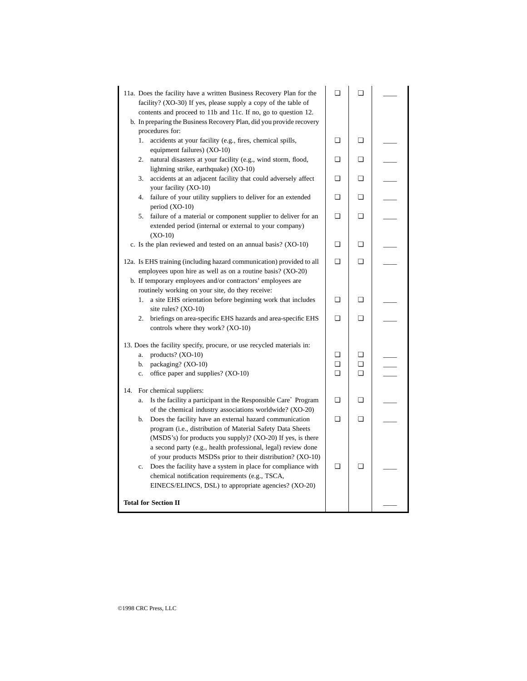| 11a. Does the facility have a written Business Recovery Plan for the<br>facility? $(XO-30)$ If yes, please supply a copy of the table of                                                                                                                  | ◘      | ❏      |  |
|-----------------------------------------------------------------------------------------------------------------------------------------------------------------------------------------------------------------------------------------------------------|--------|--------|--|
| contents and proceed to 11b and 11c. If no, go to question 12.                                                                                                                                                                                            |        |        |  |
| b. In preparing the Business Recovery Plan, did you provide recovery                                                                                                                                                                                      |        |        |  |
| procedures for:                                                                                                                                                                                                                                           |        |        |  |
| accidents at your facility (e.g., fires, chemical spills,<br>1.<br>equipment failures) (XO-10)                                                                                                                                                            | ❏      | ◘      |  |
| 2.<br>natural disasters at your facility (e.g., wind storm, flood,                                                                                                                                                                                        | ◘      | o      |  |
| lightning strike, earthquake) (XO-10)<br>accidents at an adjacent facility that could adversely affect<br>3.                                                                                                                                              | ▫      | ▫      |  |
| your facility (XO-10)                                                                                                                                                                                                                                     |        |        |  |
| 4.<br>failure of your utility suppliers to deliver for an extended<br>period $(XO-10)$                                                                                                                                                                    | ❏      | ❏      |  |
| 5.<br>failure of a material or component supplier to deliver for an<br>extended period (internal or external to your company)<br>$(XO-10)$                                                                                                                | ◘      | ◘      |  |
| c. Is the plan reviewed and tested on an annual basis? (XO-10)                                                                                                                                                                                            | $\Box$ | ◘      |  |
| 12a. Is EHS training (including hazard communication) provided to all                                                                                                                                                                                     | $\Box$ | $\Box$ |  |
| employees upon hire as well as on a routine basis? (XO-20)                                                                                                                                                                                                |        |        |  |
| b. If temporary employees and/or contractors' employees are                                                                                                                                                                                               |        |        |  |
| routinely working on your site, do they receive:                                                                                                                                                                                                          |        |        |  |
| a site EHS orientation before beginning work that includes<br>1.<br>site rules? (XO-10)                                                                                                                                                                   | ◘      | o      |  |
| briefings on area-specific EHS hazards and area-specific EHS<br>2.<br>controls where they work? (XO-10)                                                                                                                                                   | o      | ❏      |  |
| 13. Does the facility specify, procure, or use recycled materials in:                                                                                                                                                                                     |        |        |  |
| products? (XO-10)<br>a.                                                                                                                                                                                                                                   | ❏      | ▫      |  |
| b.<br>packaging? (XO-10)                                                                                                                                                                                                                                  | o      | Q.     |  |
| office paper and supplies? (XO-10)<br>c.                                                                                                                                                                                                                  | $\Box$ | o      |  |
| For chemical suppliers:<br>14.                                                                                                                                                                                                                            |        |        |  |
| Is the facility a participant in the Responsible Care" Program<br>a.<br>of the chemical industry associations worldwide? (XO-20)                                                                                                                          | ❏      | ❏      |  |
| Does the facility have an external hazard communication<br>b.                                                                                                                                                                                             | $\Box$ | $\Box$ |  |
| program (i.e., distribution of Material Safety Data Sheets<br>(MSDS's) for products you supply)? (XO-20) If yes, is there<br>a second party (e.g., health professional, legal) review done<br>of your products MSDSs prior to their distribution? (XO-10) |        |        |  |
| Does the facility have a system in place for compliance with<br>c.<br>chemical notification requirements (e.g., TSCA,<br>EINECS/ELINCS, DSL) to appropriate agencies? (XO-20)                                                                             | ◘      | ❏      |  |
| <b>Total for Section II</b>                                                                                                                                                                                                                               |        |        |  |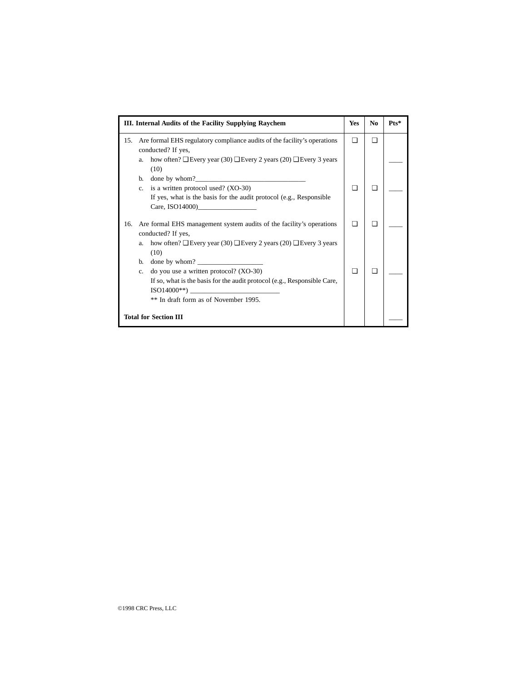| III. Internal Audits of the Facility Supplying Raychem |                                                                                                | Yes | No  | $Pts*$ |
|--------------------------------------------------------|------------------------------------------------------------------------------------------------|-----|-----|--------|
| 15.                                                    | Are formal EHS regulatory compliance audits of the facility's operations<br>conducted? If yes, |     | П   |        |
|                                                        | a. how often? $\Box$ Every year (30) $\Box$ Every 2 years (20) $\Box$ Every 3 years<br>(10)    |     |     |        |
|                                                        | b.                                                                                             |     |     |        |
|                                                        | c. is a written protocol used? (XO-30)                                                         |     | l I |        |
|                                                        | If yes, what is the basis for the audit protocol (e.g., Responsible<br>Care, $ISO14000$ )      |     |     |        |
| 16.                                                    | Are formal EHS management system audits of the facility's operations<br>conducted? If yes,     |     |     |        |
|                                                        | how often? $\Box$ Every year (30) $\Box$ Every 2 years (20) $\Box$ Every 3 years<br>a.<br>(10) |     |     |        |
|                                                        | b.                                                                                             |     |     |        |
|                                                        | do you use a written protocol? (XO-30)<br>$c_{-}$                                              |     | П   |        |
|                                                        | If so, what is the basis for the audit protocol (e.g., Responsible Care,<br>$ISO14000**$ )     |     |     |        |
|                                                        | ** In draft form as of November 1995.                                                          |     |     |        |
| <b>Total for Section III</b>                           |                                                                                                |     |     |        |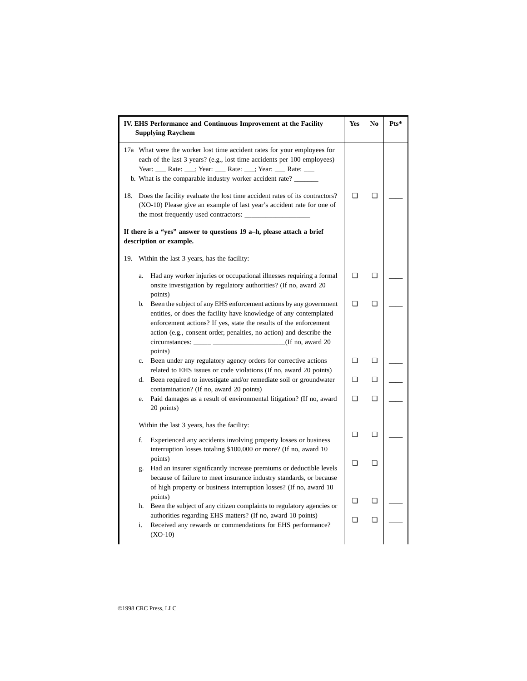| IV. EHS Performance and Continuous Improvement at the Facility<br><b>Supplying Raychem</b>                                                                                                                                                                                                          |        | No     | Pts* |
|-----------------------------------------------------------------------------------------------------------------------------------------------------------------------------------------------------------------------------------------------------------------------------------------------------|--------|--------|------|
| 17a What were the worker lost time accident rates for your employees for<br>each of the last 3 years? (e.g., lost time accidents per 100 employees)<br>Year: ____ Rate: ____; Year: ____ Rate: ____; Year: ____ Rate: ____<br>b. What is the comparable industry worker accident rate? ______       |        |        |      |
| 18. Does the facility evaluate the lost time accident rates of its contractors?<br>(XO-10) Please give an example of last year's accident rate for one of<br>the most frequently used contractors:                                                                                                  | $\Box$ | $\Box$ |      |
| If there is a "yes" answer to questions 19 a-h, please attach a brief<br>description or example.                                                                                                                                                                                                    |        |        |      |
| 19. Within the last 3 years, has the facility:                                                                                                                                                                                                                                                      |        |        |      |
| Had any worker injuries or occupational illnesses requiring a formal<br>a.<br>onsite investigation by regulatory authorities? (If no, award 20)<br>points)                                                                                                                                          | ❏      | ❏      |      |
| Been the subject of any EHS enforcement actions by any government<br>b.<br>entities, or does the facility have knowledge of any contemplated<br>enforcement actions? If yes, state the results of the enforcement<br>action (e.g., consent order, penalties, no action) and describe the<br>points) | $\Box$ | o      |      |
| Been under any regulatory agency orders for corrective actions<br>c.<br>related to EHS issues or code violations (If no, award 20 points)                                                                                                                                                           | $\Box$ | $\Box$ |      |
| d. Been required to investigate and/or remediate soil or groundwater<br>contamination? (If no, award 20 points)                                                                                                                                                                                     | ▫      | o.     |      |
| Paid damages as a result of environmental litigation? (If no, award<br>e.<br>20 points)                                                                                                                                                                                                             | ❏      | ❏      |      |
| Within the last 3 years, has the facility:                                                                                                                                                                                                                                                          |        |        |      |
| f.<br>Experienced any accidents involving property losses or business<br>interruption losses totaling \$100,000 or more? (If no, award 10                                                                                                                                                           | ❏      | o      |      |
| points)<br>Had an insurer significantly increase premiums or deductible levels<br>g.<br>because of failure to meet insurance industry standards, or because<br>of high property or business interruption losses? (If no, award 10)                                                                  | ❏      | o      |      |
| points)<br>Been the subject of any citizen complaints to regulatory agencies or<br>h.                                                                                                                                                                                                               | ❏      | ▫      |      |
| authorities regarding EHS matters? (If no, award 10 points)<br>Received any rewards or commendations for EHS performance?<br>i.<br>$(XO-10)$                                                                                                                                                        | $\Box$ | ❏      |      |